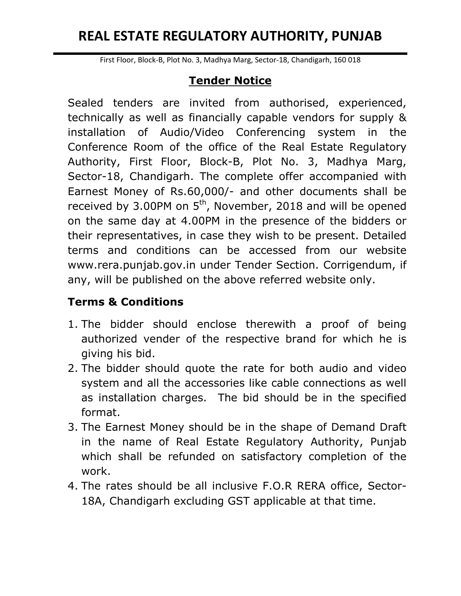# **REAL ESTATE REGULATORY AUTHORITY, PUNJAB**

First Floor, Block-B, Plot No. 3, Madhya Marg, Sector-18, Chandigarh, 160 018

### **Tender Notice**

Sealed tenders are invited from authorised, experienced, technically as well as financially capable vendors for supply & installation of Audio/Video Conferencing system in the Conference Room of the office of the Real Estate Regulatory Authority, First Floor, Block-B, Plot No. 3, Madhya Marg, Sector-18, Chandigarh. The complete offer accompanied with Earnest Money of Rs.60,000/- and other documents shall be received by 3.00PM on  $5<sup>th</sup>$ , November, 2018 and will be opened on the same day at 4.00PM in the presence of the bidders or their representatives, in case they wish to be present. Detailed terms and conditions can be accessed from our website www.rera.punjab.gov.in under Tender Section. Corrigendum, if any, will be published on the above referred website only.

### **Terms & Conditions**

- 1. The bidder should enclose therewith a proof of being authorized vender of the respective brand for which he is giving his bid.
- 2. The bidder should quote the rate for both audio and video system and all the accessories like cable connections as well as installation charges. The bid should be in the specified format.
- 3. The Earnest Money should be in the shape of Demand Draft in the name of Real Estate Regulatory Authority, Punjab which shall be refunded on satisfactory completion of the work.
- 4. The rates should be all inclusive F.O.R RERA office, Sector-18A, Chandigarh excluding GST applicable at that time.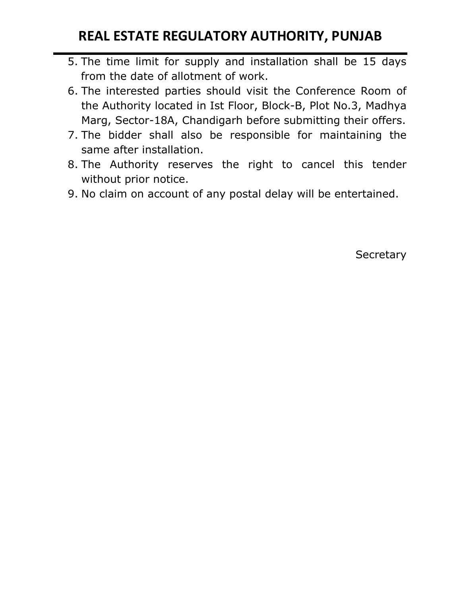# **REAL ESTATE REGULATORY AUTHORITY, PUNJAB**

- 5. The time limit for supply and installation shall be 15 days from the date of allotment of work.
- 6. The interested parties should visit the Conference Room of the Authority located in Ist Floor, Block-B, Plot No.3, Madhya Marg, Sector-18A, Chandigarh before submitting their offers.
- 7. The bidder shall also be responsible for maintaining the same after installation.
- 8. The Authority reserves the right to cancel this tender without prior notice.
- 9. No claim on account of any postal delay will be entertained.

**Secretary**